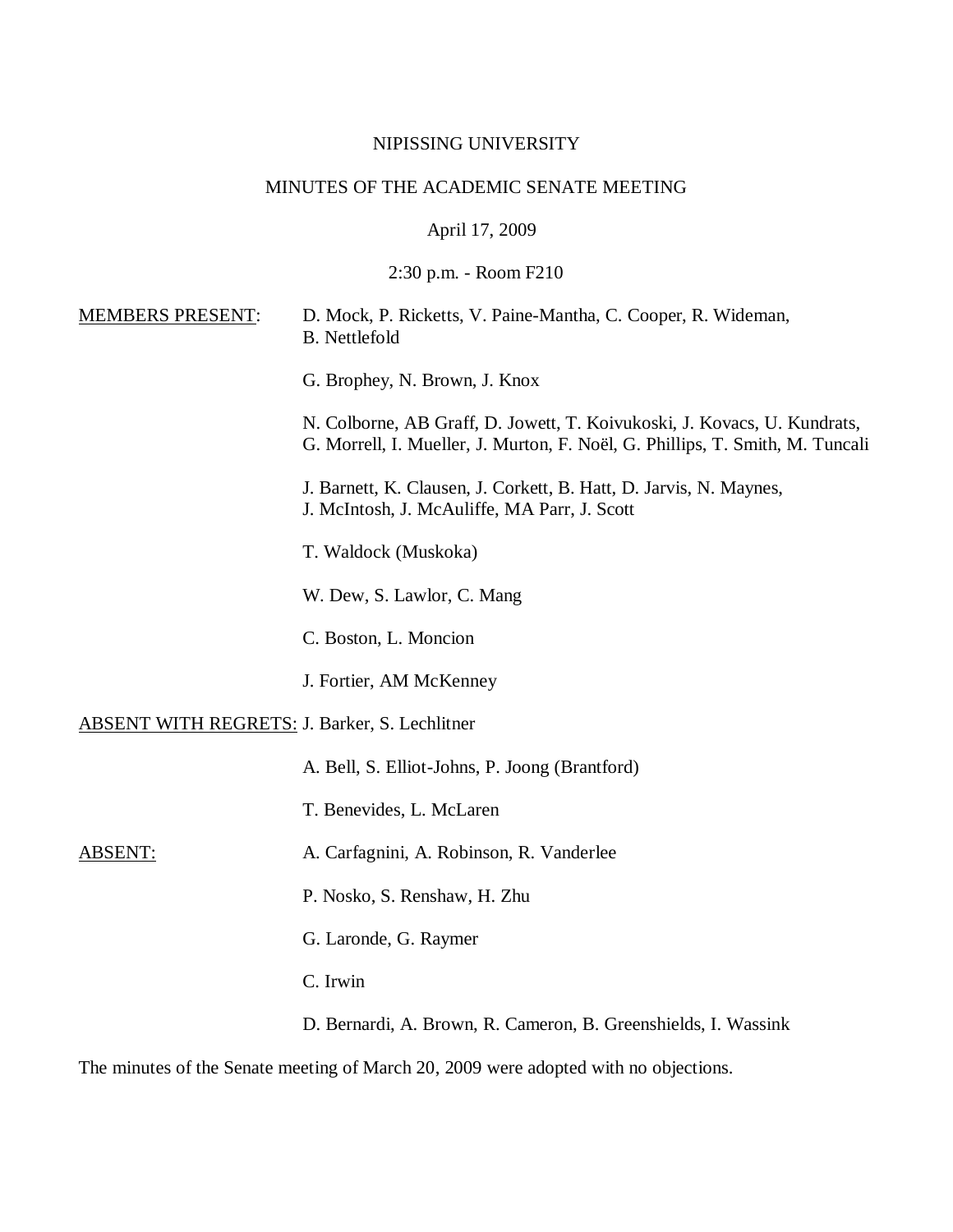# NIPISSING UNIVERSITY

# MINUTES OF THE ACADEMIC SENATE MEETING

April 17, 2009

2:30 p.m. - Room F210

| <b>MEMBERS PRESENT:</b>                              | D. Mock, P. Ricketts, V. Paine-Mantha, C. Cooper, R. Wideman,<br><b>B.</b> Nettlefold                                                                     |
|------------------------------------------------------|-----------------------------------------------------------------------------------------------------------------------------------------------------------|
|                                                      | G. Brophey, N. Brown, J. Knox                                                                                                                             |
|                                                      | N. Colborne, AB Graff, D. Jowett, T. Koivukoski, J. Kovacs, U. Kundrats,<br>G. Morrell, I. Mueller, J. Murton, F. Noël, G. Phillips, T. Smith, M. Tuncali |
|                                                      | J. Barnett, K. Clausen, J. Corkett, B. Hatt, D. Jarvis, N. Maynes,<br>J. McIntosh, J. McAuliffe, MA Parr, J. Scott                                        |
|                                                      | T. Waldock (Muskoka)                                                                                                                                      |
|                                                      | W. Dew, S. Lawlor, C. Mang                                                                                                                                |
|                                                      | C. Boston, L. Moncion                                                                                                                                     |
|                                                      | J. Fortier, AM McKenney                                                                                                                                   |
| <b>ABSENT WITH REGRETS: J. Barker, S. Lechlitner</b> |                                                                                                                                                           |
|                                                      | A. Bell, S. Elliot-Johns, P. Joong (Brantford)                                                                                                            |
|                                                      | T. Benevides, L. McLaren                                                                                                                                  |
| ABSENT:                                              | A. Carfagnini, A. Robinson, R. Vanderlee                                                                                                                  |
|                                                      | P. Nosko, S. Renshaw, H. Zhu                                                                                                                              |
|                                                      | G. Laronde, G. Raymer                                                                                                                                     |
|                                                      | C. Irwin                                                                                                                                                  |
|                                                      | D. Bernardi, A. Brown, R. Cameron, B. Greenshields, I. Wassink                                                                                            |

The minutes of the Senate meeting of March 20, 2009 were adopted with no objections.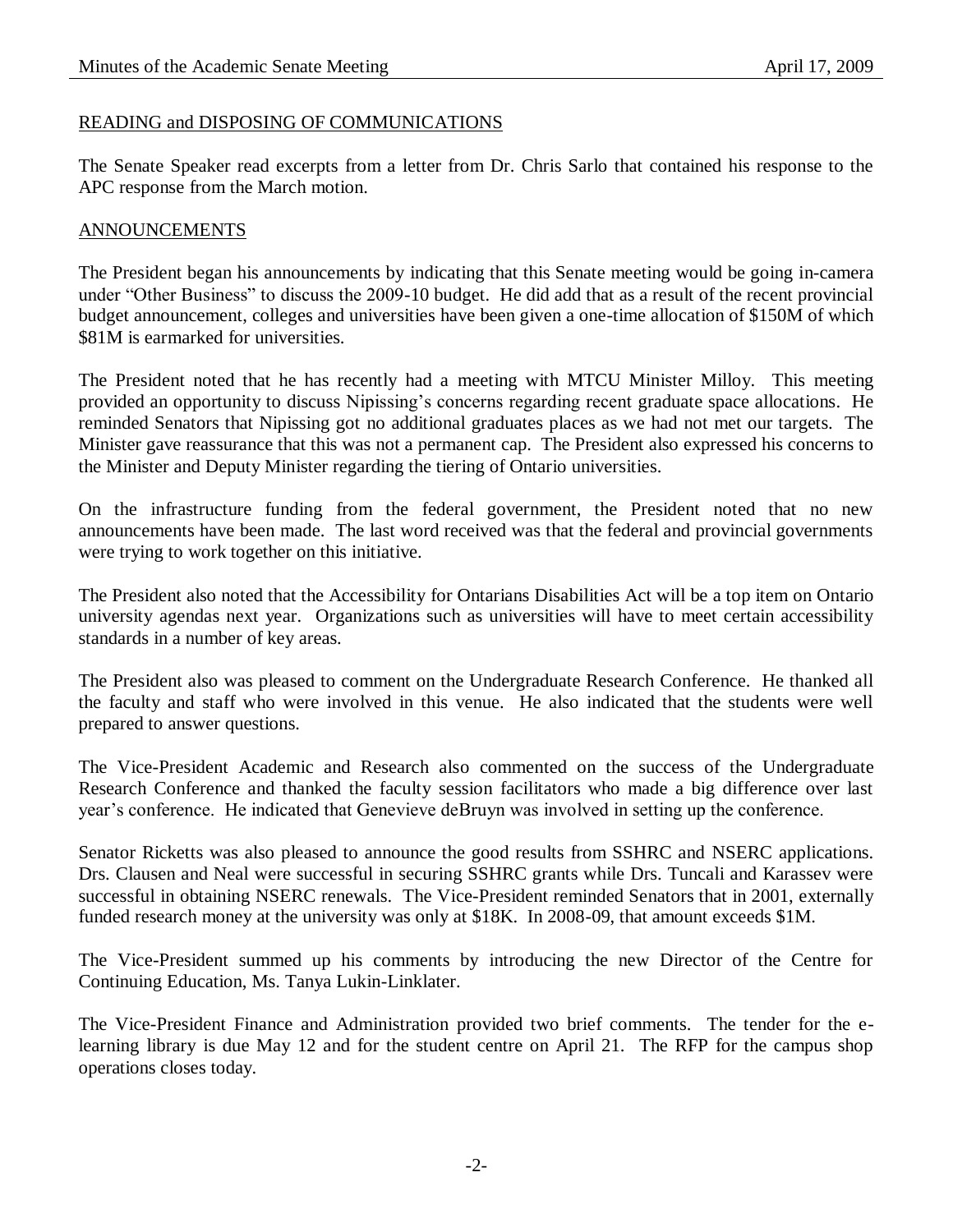#### READING and DISPOSING OF COMMUNICATIONS

The Senate Speaker read excerpts from a letter from Dr. Chris Sarlo that contained his response to the APC response from the March motion.

#### ANNOUNCEMENTS

The President began his announcements by indicating that this Senate meeting would be going in-camera under "Other Business" to discuss the 2009-10 budget. He did add that as a result of the recent provincial budget announcement, colleges and universities have been given a one-time allocation of \$150M of which \$81M is earmarked for universities.

The President noted that he has recently had a meeting with MTCU Minister Milloy. This meeting provided an opportunity to discuss Nipissing's concerns regarding recent graduate space allocations. He reminded Senators that Nipissing got no additional graduates places as we had not met our targets. The Minister gave reassurance that this was not a permanent cap. The President also expressed his concerns to the Minister and Deputy Minister regarding the tiering of Ontario universities.

On the infrastructure funding from the federal government, the President noted that no new announcements have been made. The last word received was that the federal and provincial governments were trying to work together on this initiative.

The President also noted that the Accessibility for Ontarians Disabilities Act will be a top item on Ontario university agendas next year. Organizations such as universities will have to meet certain accessibility standards in a number of key areas.

The President also was pleased to comment on the Undergraduate Research Conference. He thanked all the faculty and staff who were involved in this venue. He also indicated that the students were well prepared to answer questions.

The Vice-President Academic and Research also commented on the success of the Undergraduate Research Conference and thanked the faculty session facilitators who made a big difference over last year's conference. He indicated that Genevieve deBruyn was involved in setting up the conference.

Senator Ricketts was also pleased to announce the good results from SSHRC and NSERC applications. Drs. Clausen and Neal were successful in securing SSHRC grants while Drs. Tuncali and Karassev were successful in obtaining NSERC renewals. The Vice-President reminded Senators that in 2001, externally funded research money at the university was only at \$18K. In 2008-09, that amount exceeds \$1M.

The Vice-President summed up his comments by introducing the new Director of the Centre for Continuing Education, Ms. Tanya Lukin-Linklater.

The Vice-President Finance and Administration provided two brief comments. The tender for the elearning library is due May 12 and for the student centre on April 21. The RFP for the campus shop operations closes today.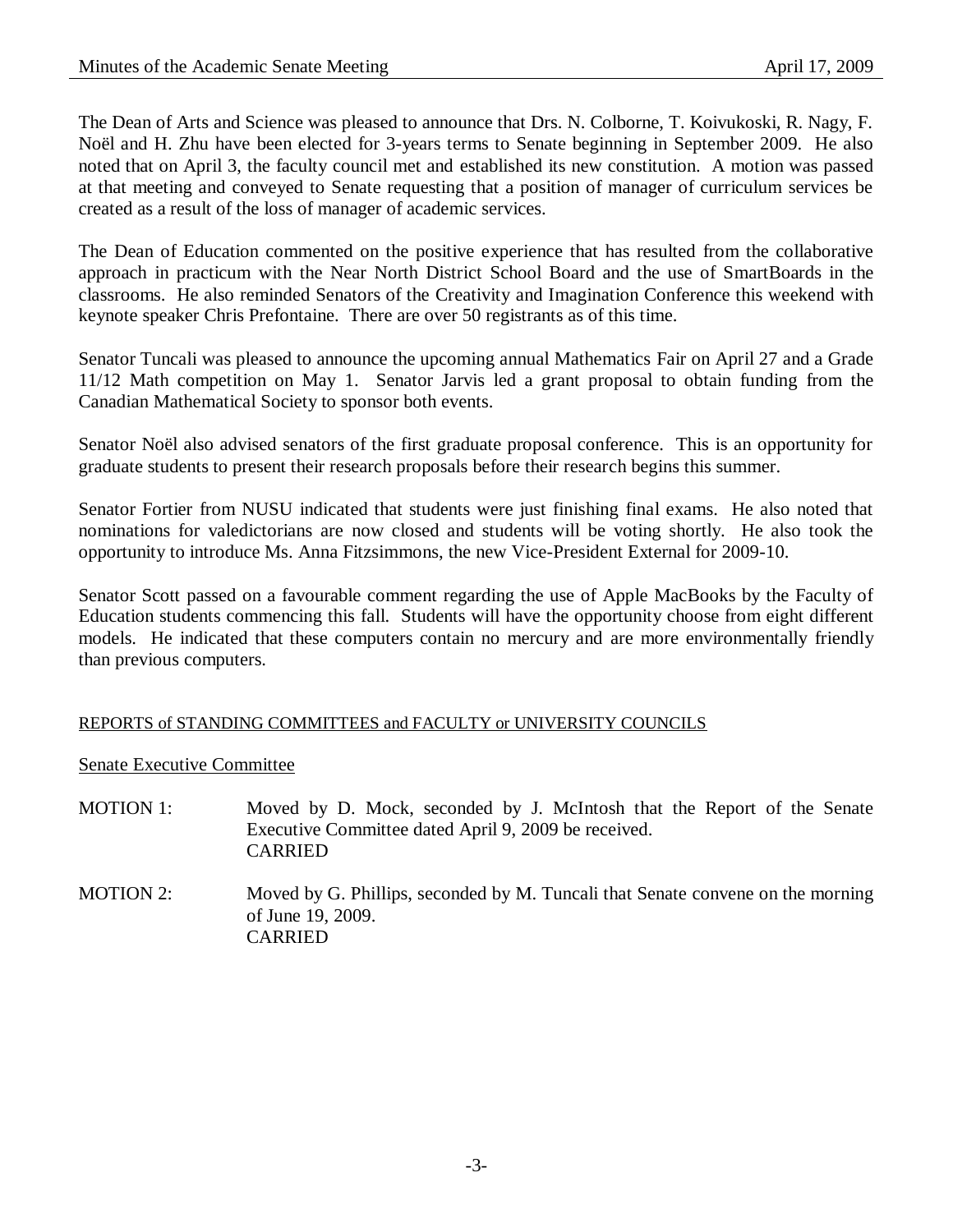The Dean of Arts and Science was pleased to announce that Drs. N. Colborne, T. Koivukoski, R. Nagy, F. Noël and H. Zhu have been elected for 3-years terms to Senate beginning in September 2009. He also noted that on April 3, the faculty council met and established its new constitution. A motion was passed at that meeting and conveyed to Senate requesting that a position of manager of curriculum services be created as a result of the loss of manager of academic services.

The Dean of Education commented on the positive experience that has resulted from the collaborative approach in practicum with the Near North District School Board and the use of SmartBoards in the classrooms. He also reminded Senators of the Creativity and Imagination Conference this weekend with keynote speaker Chris Prefontaine. There are over 50 registrants as of this time.

Senator Tuncali was pleased to announce the upcoming annual Mathematics Fair on April 27 and a Grade 11/12 Math competition on May 1. Senator Jarvis led a grant proposal to obtain funding from the Canadian Mathematical Society to sponsor both events.

Senator Noël also advised senators of the first graduate proposal conference. This is an opportunity for graduate students to present their research proposals before their research begins this summer.

Senator Fortier from NUSU indicated that students were just finishing final exams. He also noted that nominations for valedictorians are now closed and students will be voting shortly. He also took the opportunity to introduce Ms. Anna Fitzsimmons, the new Vice-President External for 2009-10.

Senator Scott passed on a favourable comment regarding the use of Apple MacBooks by the Faculty of Education students commencing this fall. Students will have the opportunity choose from eight different models. He indicated that these computers contain no mercury and are more environmentally friendly than previous computers.

### REPORTS of STANDING COMMITTEES and FACULTY or UNIVERSITY COUNCILS

Senate Executive Committee

- MOTION 1: Moved by D. Mock, seconded by J. McIntosh that the Report of the Senate Executive Committee dated April 9, 2009 be received. CARRIED
- MOTION 2: Moved by G. Phillips, seconded by M. Tuncali that Senate convene on the morning of June 19, 2009. CARRIED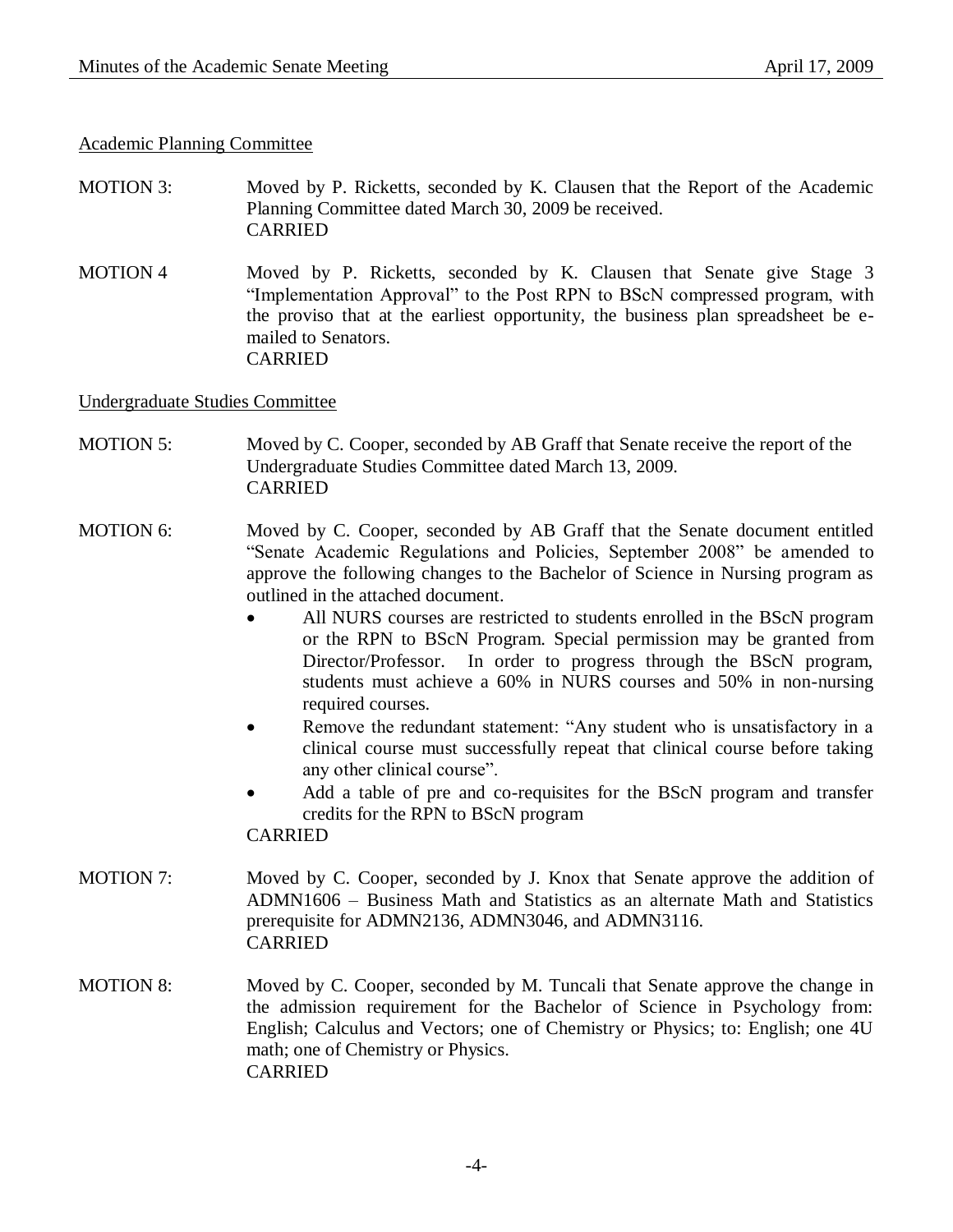#### Academic Planning Committee

- MOTION 3: Moved by P. Ricketts, seconded by K. Clausen that the Report of the Academic Planning Committee dated March 30, 2009 be received. CARRIED
- MOTION 4 Moved by P. Ricketts, seconded by K. Clausen that Senate give Stage 3 "Implementation Approval" to the Post RPN to BScN compressed program, with the proviso that at the earliest opportunity, the business plan spreadsheet be emailed to Senators. CARRIED

Undergraduate Studies Committee

- MOTION 5: Moved by C. Cooper, seconded by AB Graff that Senate receive the report of the Undergraduate Studies Committee dated March 13, 2009. CARRIED
- MOTION 6: Moved by C. Cooper, seconded by AB Graff that the Senate document entitled "Senate Academic Regulations and Policies, September 2008" be amended to approve the following changes to the Bachelor of Science in Nursing program as outlined in the attached document.
	- All NURS courses are restricted to students enrolled in the BScN program or the RPN to BScN Program. Special permission may be granted from Director/Professor. In order to progress through the BScN program, students must achieve a 60% in NURS courses and 50% in non-nursing required courses.
	- Remove the redundant statement: "Any student who is unsatisfactory in a clinical course must successfully repeat that clinical course before taking any other clinical course".
	- Add a table of pre and co-requisites for the BScN program and transfer credits for the RPN to BScN program CARRIED
- MOTION 7: Moved by C. Cooper, seconded by J. Knox that Senate approve the addition of ADMN1606 – Business Math and Statistics as an alternate Math and Statistics prerequisite for ADMN2136, ADMN3046, and ADMN3116. CARRIED
- MOTION 8: Moved by C. Cooper, seconded by M. Tuncali that Senate approve the change in the admission requirement for the Bachelor of Science in Psychology from: English; Calculus and Vectors; one of Chemistry or Physics; to: English; one 4U math; one of Chemistry or Physics. CARRIED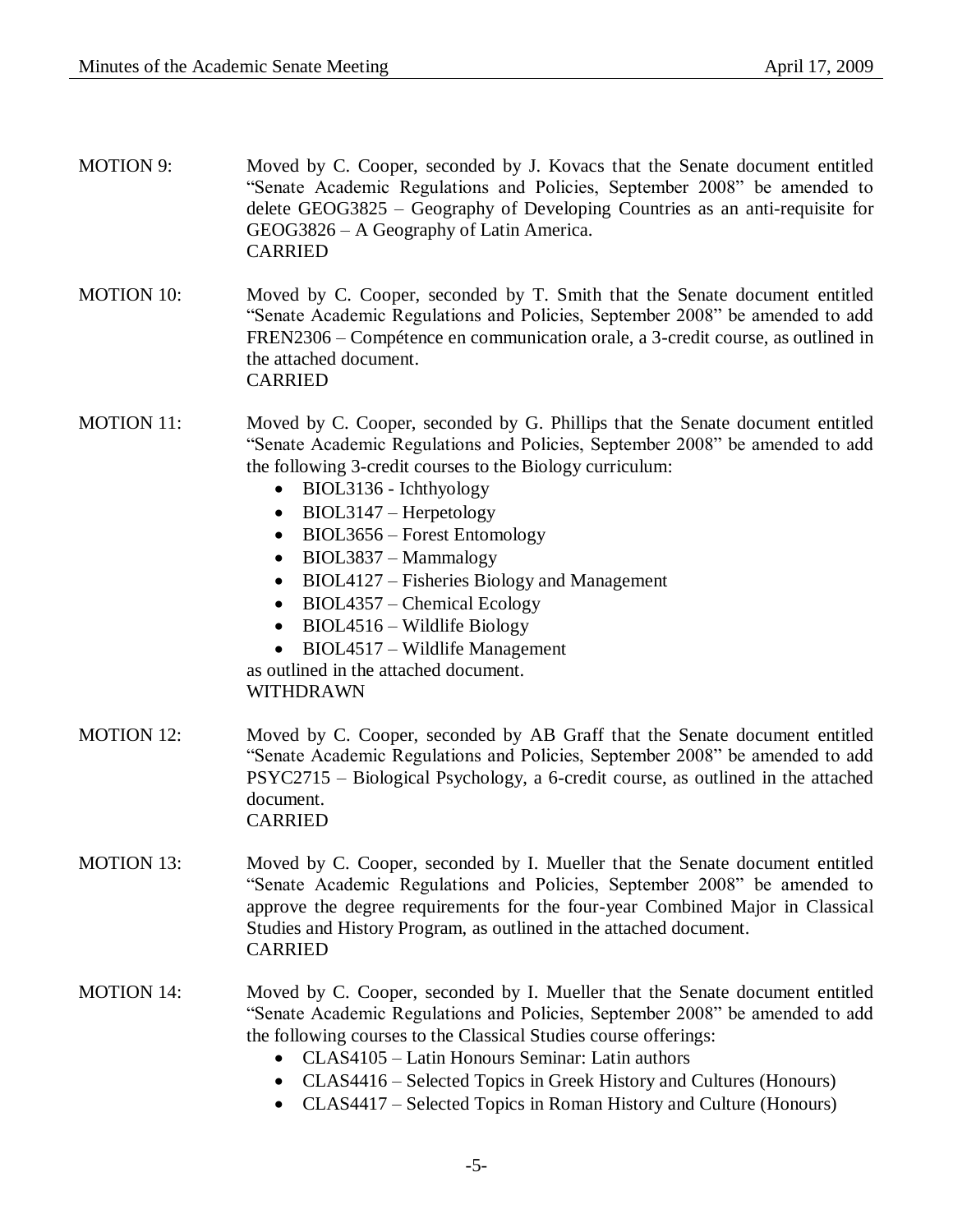| <b>MOTION 9:</b>  | Moved by C. Cooper, seconded by J. Kovacs that the Senate document entitled<br>"Senate Academic Regulations and Policies, September 2008" be amended to<br>delete GEOG3825 – Geography of Developing Countries as an anti-requisite for<br>GEOG3826 – A Geography of Latin America.<br><b>CARRIED</b>                                                                                                                                                                                                                                                                                                                                  |
|-------------------|----------------------------------------------------------------------------------------------------------------------------------------------------------------------------------------------------------------------------------------------------------------------------------------------------------------------------------------------------------------------------------------------------------------------------------------------------------------------------------------------------------------------------------------------------------------------------------------------------------------------------------------|
| <b>MOTION 10:</b> | Moved by C. Cooper, seconded by T. Smith that the Senate document entitled<br>"Senate Academic Regulations and Policies, September 2008" be amended to add<br>FREN2306 – Compétence en communication orale, a 3-credit course, as outlined in<br>the attached document.<br><b>CARRIED</b>                                                                                                                                                                                                                                                                                                                                              |
| <b>MOTION 11:</b> | Moved by C. Cooper, seconded by G. Phillips that the Senate document entitled<br>"Senate Academic Regulations and Policies, September 2008" be amended to add<br>the following 3-credit courses to the Biology curriculum:<br>BIOL3136 - Ichthyology<br>$\bullet$<br>BIOL3147 – Herpetology<br>$\bullet$<br>BIOL3656 – Forest Entomology<br>$\bullet$<br>BIOL3837 - Mammalogy<br>$\bullet$<br>BIOL4127 – Fisheries Biology and Management<br>BIOL4357 – Chemical Ecology<br>$\bullet$<br>BIOL4516 – Wildlife Biology<br>$\bullet$<br>BIOL4517 – Wildlife Management<br>$\bullet$<br>as outlined in the attached document.<br>WITHDRAWN |
| <b>MOTION 12:</b> | Moved by C. Cooper, seconded by AB Graff that the Senate document entitled<br>"Senate Academic Regulations and Policies, September 2008" be amended to add<br>PSYC2715 – Biological Psychology, a 6-credit course, as outlined in the attached<br>document.<br><b>CARRIED</b>                                                                                                                                                                                                                                                                                                                                                          |
| <b>MOTION 13:</b> | Moved by C. Cooper, seconded by I. Mueller that the Senate document entitled<br>"Senate Academic Regulations and Policies, September 2008" be amended to<br>approve the degree requirements for the four-year Combined Major in Classical<br>Studies and History Program, as outlined in the attached document.<br><b>CARRIED</b>                                                                                                                                                                                                                                                                                                      |
| <b>MOTION 14:</b> | Moved by C. Cooper, seconded by I. Mueller that the Senate document entitled<br>"Senate Academic Regulations and Policies, September 2008" be amended to add<br>the following courses to the Classical Studies course offerings:<br>CLAS4105 - Latin Honours Seminar: Latin authors<br>CLAS4416 – Selected Topics in Greek History and Cultures (Honours)<br>$\bullet$<br>CLAS4417 – Selected Topics in Roman History and Culture (Honours)<br>$\bullet$                                                                                                                                                                               |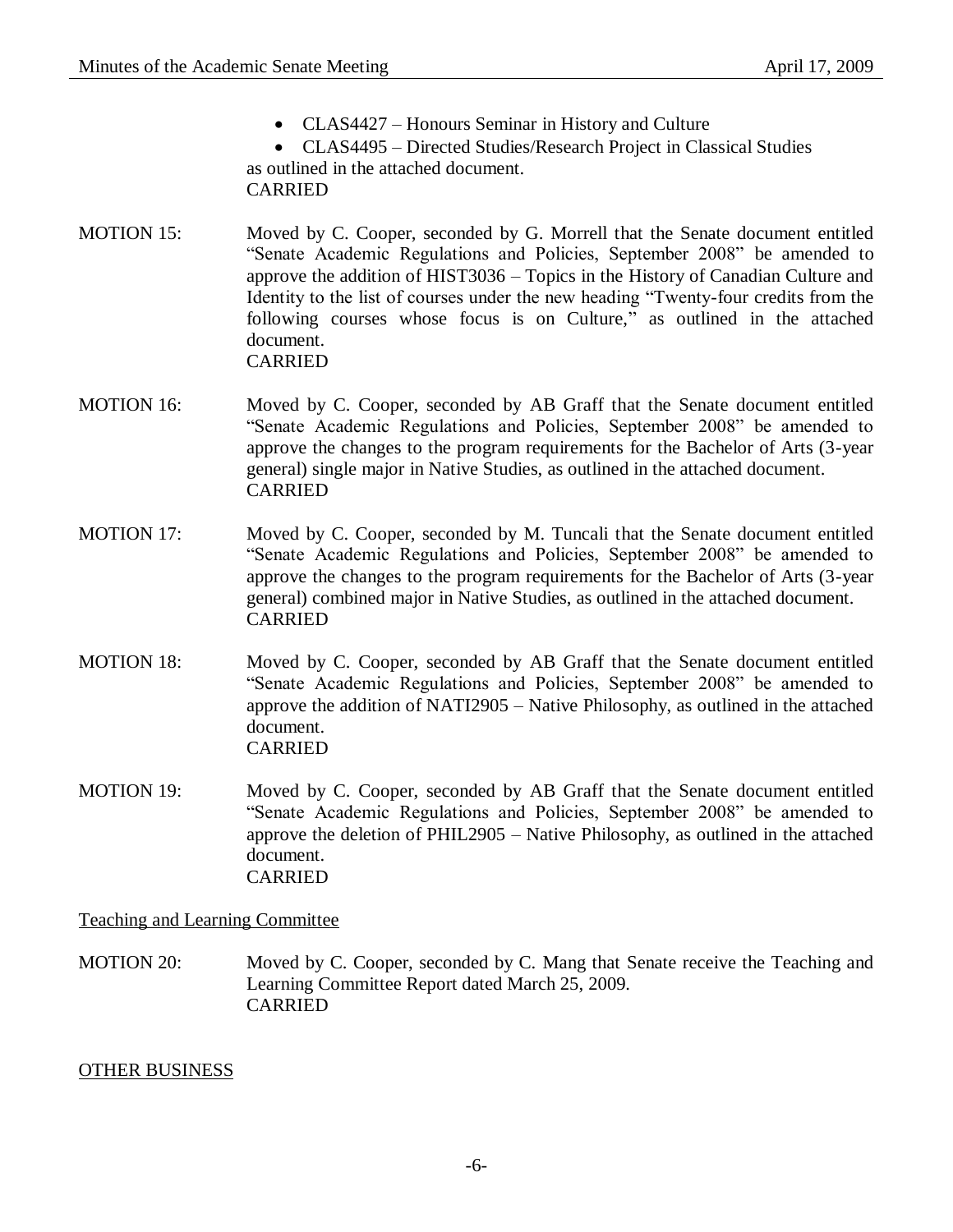• CLAS4427 – Honours Seminar in History and Culture

 CLAS4495 – Directed Studies/Research Project in Classical Studies as outlined in the attached document. CARRIED

- MOTION 15: Moved by C. Cooper, seconded by G. Morrell that the Senate document entitled "Senate Academic Regulations and Policies, September 2008" be amended to approve the addition of HIST3036 – Topics in the History of Canadian Culture and Identity to the list of courses under the new heading "Twenty-four credits from the following courses whose focus is on Culture," as outlined in the attached document. CARRIED
- MOTION 16: Moved by C. Cooper, seconded by AB Graff that the Senate document entitled "Senate Academic Regulations and Policies, September 2008" be amended to approve the changes to the program requirements for the Bachelor of Arts (3-year general) single major in Native Studies, as outlined in the attached document. CARRIED
- MOTION 17: Moved by C. Cooper, seconded by M. Tuncali that the Senate document entitled "Senate Academic Regulations and Policies, September 2008" be amended to approve the changes to the program requirements for the Bachelor of Arts (3-year general) combined major in Native Studies, as outlined in the attached document. CARRIED
- MOTION 18: Moved by C. Cooper, seconded by AB Graff that the Senate document entitled "Senate Academic Regulations and Policies, September 2008" be amended to approve the addition of NATI2905 – Native Philosophy, as outlined in the attached document. CARRIED
- MOTION 19: Moved by C. Cooper, seconded by AB Graff that the Senate document entitled "Senate Academic Regulations and Policies, September 2008" be amended to approve the deletion of PHIL2905 – Native Philosophy, as outlined in the attached document. CARRIED

### Teaching and Learning Committee

MOTION 20: Moved by C. Cooper, seconded by C. Mang that Senate receive the Teaching and Learning Committee Report dated March 25, 2009. CARRIED

### OTHER BUSINESS